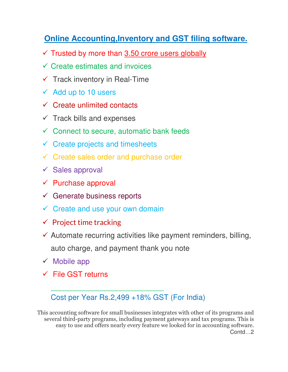#### **Online Accounting,Inventory and GST filing software.**

- $\checkmark$  Trusted by more than 3.50 crore users globally
- $\checkmark$  Create estimates and invoices
- $\checkmark$  Track inventory in Real-Time
- $\checkmark$  Add up to 10 users
- $\checkmark$  Create unlimited contacts
- $\checkmark$  Track bills and expenses
- $\checkmark$  Connect to secure, automatic bank feeds
- $\checkmark$  Create projects and timesheets
- $\checkmark$  Create sales order and purchase order
- $\checkmark$  Sales approval
- $\checkmark$  Purchase approval
- $\checkmark$  Generate business reports
- $\checkmark$  Create and use your own domain

\_\_\_\_\_\_\_\_\_\_\_\_\_\_\_\_\_\_\_\_\_\_\_\_\_\_\_

- $\checkmark$  Project time tracking
- $\checkmark$  Automate recurring activities like payment reminders, billing, auto charge, and payment thank you note
- $\checkmark$  Mobile app
- $\checkmark$  File GST returns

Cost per Year Rs.2,499 +18% GST (For India)

This accounting software for small businesses integrates with other of its programs and several third-party programs, including payment gateways and tax programs. This is easy to use and offers nearly every feature we looked for in accounting software. Contd…2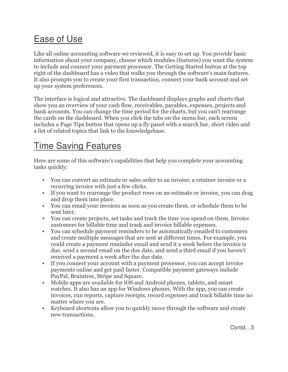### Ease of Use

Like all online accounting software we reviewed, it is easy to set up. You provide basic information about your company, choose which modules (features) you want the system to include and connect your payment processor. The Getting Started button at the top right of the dashboard has a video that walks you through the software's main features. It also prompts you to create your first transaction, connect your bank account and set up your system preferences.

The interface is logical and attractive. The dashboard displays graphs and charts that show you an overview of your cash flow, receivables, payables, expenses, projects and bank accounts. You can change the time period for the charts, but you can't rearrange the cards on the dashboard. When you click the tabs on the menu bar, each screen includes a Page Tips button that opens up a fly panel with a search bar, short video and a list of related topics that link to the knowledgebase.

# Time Saving Features

Here are some of this software's capabilities that help you complete your accounting tasks quickly:

- You can convert an estimate or sales order to an invoice, a retainer invoice or a recurring invoice with just a few clicks.
- If you want to rearrange the product rows on an estimate or invoice, you can drag and drop them into place.
- You can email your invoices as soon as you create them, or schedule them to be sent later.
- You can create projects, set tasks and track the time you spend on them. Invoice customers for billable time and track and invoice billable expenses.
- You can schedule payment reminders to be automatically emailed to customers and create multiple messages that are sent at different times. For example, you could create a payment reminder email and send it a week before the invoice is due, send a second email on the due date, and send a third email if you haven't received a payment a week after the due date.
- If you connect your account with a payment processor, you can accept invoice payments online and get paid faster. Compatible payment gateways include PayPal, Braintree, Stripe and Square.
- Mobile apps are available for iOS and Android phones, tablets, and smart watches. It also has an app for Windows phones. With the app, you can create invoices, run reports, capture receipts, record expenses and track billable time no matter where you are.
- Keyboard shortcuts allow you to quickly move through the software and create new transactions.